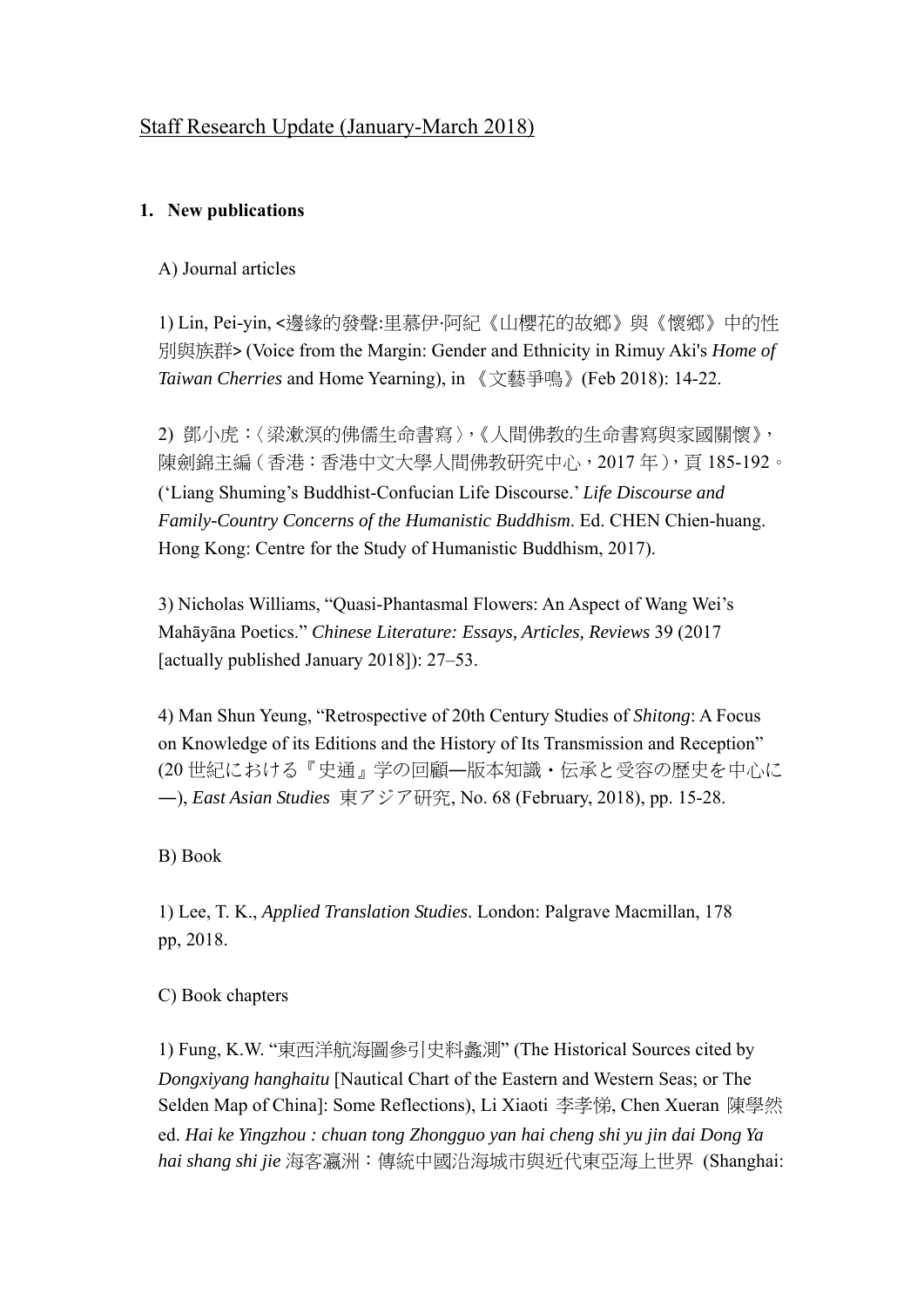# Staff Research Update (January-March 2018)

## **1. New publications**

A) Journal articles

1) Lin, Pei-yin, <邊緣的發聲:里慕伊∙阿紀《山櫻花的故鄉》與《懷鄉》中的性 別與族群> (Voice from the Margin: Gender and Ethnicity in Rimuy Aki's *Home of Taiwan Cherries* and Home Yearning), in 《文藝爭鳴》(Feb 2018): 14-22.

2) 鄧小虎:〈梁漱溟的佛儒生命書寫〉,《人間佛教的生命書寫與家國關懷》, 陳劍錦主編(香港:香港中文大學人間佛教研究中心,2017 年),頁 185-192。 ('Liang Shuming's Buddhist-Confucian Life Discourse.' *Life Discourse and Family-Country Concerns of the Humanistic Buddhism*. Ed. CHEN Chien-huang. Hong Kong: Centre for the Study of Humanistic Buddhism, 2017).

3) Nicholas Williams, "Quasi-Phantasmal Flowers: An Aspect of Wang Wei's Mahāyāna Poetics." *Chinese Literature: Essays, Articles, Reviews* 39 (2017 [actually published January 2018]): 27–53.

4) Man Shun Yeung, "Retrospective of 20th Century Studies of *Shitong*: A Focus on Knowledge of its Editions and the History of Its Transmission and Reception" (20 世紀における『史通』学の回顧―版本知識・伝承と受容の歴史を中心に ―), *East Asian Studies* 東アジア研究, No. 68 (February, 2018), pp. 15-28.

B) Book

1) Lee, T. K., *Applied Translation Studies*. London: Palgrave Macmillan, 178 pp, 2018.

C) Book chapters

1) Fung, K.W. "東西洋航海圖參引史料蠡測" (The Historical Sources cited by *Dongxiyang hanghaitu* [Nautical Chart of the Eastern and Western Seas; or The Selden Map of China]: Some Reflections), Li Xiaoti 李孝悌, Chen Xueran 陳學然 ed. *Hai ke Yingzhou : chuan tong Zhongguo yan hai cheng shi yu jin dai Dong Ya hai shang shi jie* 海客瀛洲:傳統中國沿海城市與近代東亞海上世界 (Shanghai: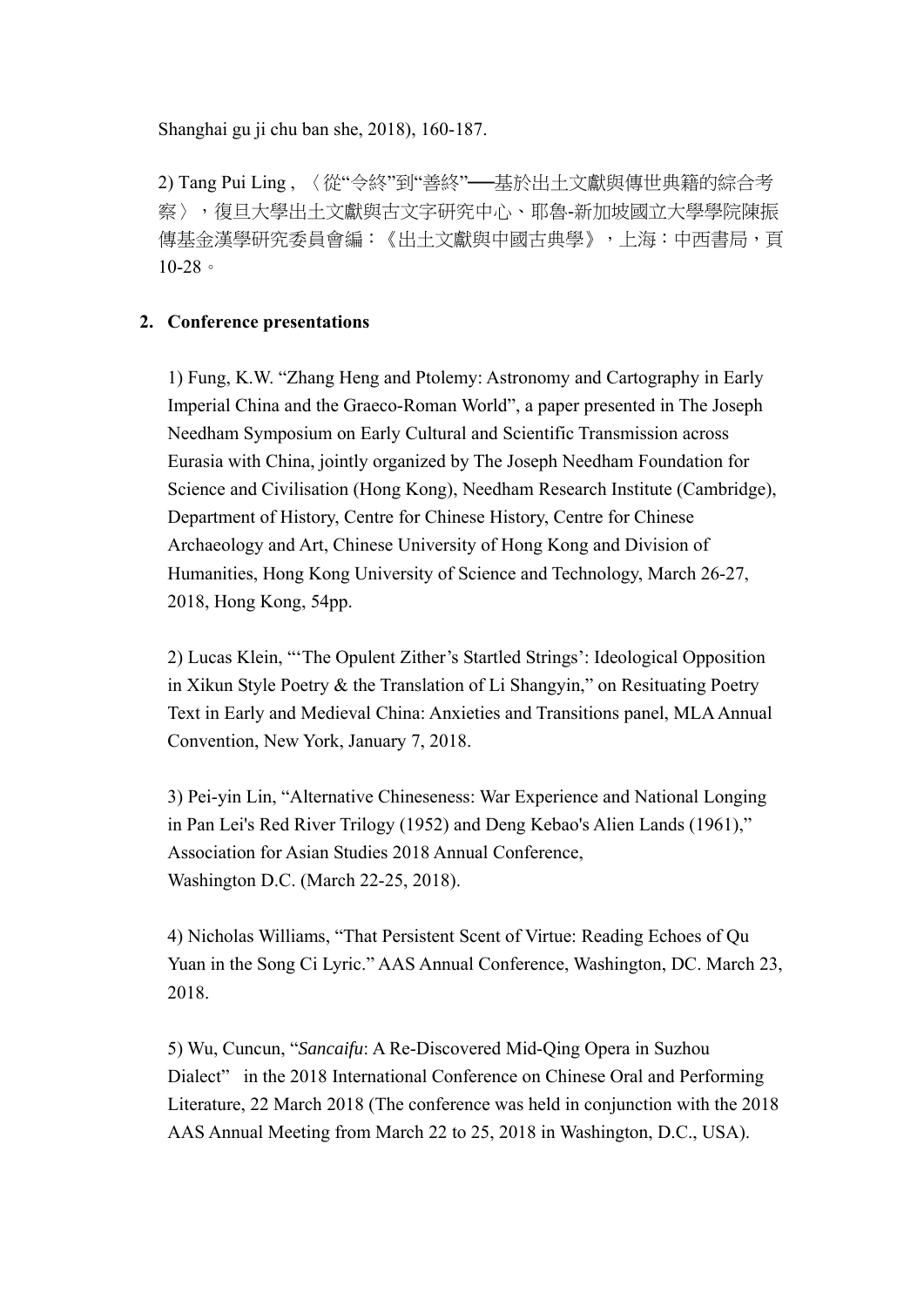Shanghai gu ji chu ban she, 2018), 160-187.

2) Tang Pui Ling , 〈從"令終"到"善終"──基於出土文獻與傳世典籍的綜合考 察〉,復旦大學出土文獻與古文字研究中心、耶魯-新加坡國立大學學院陳振 傳基金漢學研究委員會編:《出土文獻與中國古典學》,上海:中西書局,頁  $10-28$ 

### **2. Conference presentations**

1) Fung, K.W. "Zhang Heng and Ptolemy: Astronomy and Cartography in Early Imperial China and the Graeco-Roman World", a paper presented in The Joseph Needham Symposium on Early Cultural and Scientific Transmission across Eurasia with China, jointly organized by The Joseph Needham Foundation for Science and Civilisation (Hong Kong), Needham Research Institute (Cambridge), Department of History, Centre for Chinese History, Centre for Chinese Archaeology and Art, Chinese University of Hong Kong and Division of Humanities, Hong Kong University of Science and Technology, March 26-27, 2018, Hong Kong, 54pp.

2) Lucas Klein, "'The Opulent Zither's Startled Strings': Ideological Opposition in Xikun Style Poetry & the Translation of Li Shangyin," on Resituating Poetry Text in Early and Medieval China: Anxieties and Transitions panel, MLA Annual Convention, New York, January 7, 2018.

3) Pei-yin Lin, "Alternative Chineseness: War Experience and National Longing in Pan Lei's Red River Trilogy (1952) and Deng Kebao's Alien Lands (1961)," Association for Asian Studies 2018 Annual Conference, Washington D.C. (March 22-25, 2018).

4) Nicholas Williams, "That Persistent Scent of Virtue: Reading Echoes of Qu Yuan in the Song Ci Lyric." AAS Annual Conference, Washington, DC. March 23, 2018.

5) Wu, Cuncun, "*Sancaifu*: A Re-Discovered Mid-Qing Opera in Suzhou Dialect" in the 2018 International Conference on Chinese Oral and Performing Literature, 22 March 2018 (The conference was held in conjunction with the 2018 AAS Annual Meeting from March 22 to 25, 2018 in Washington, D.C., USA).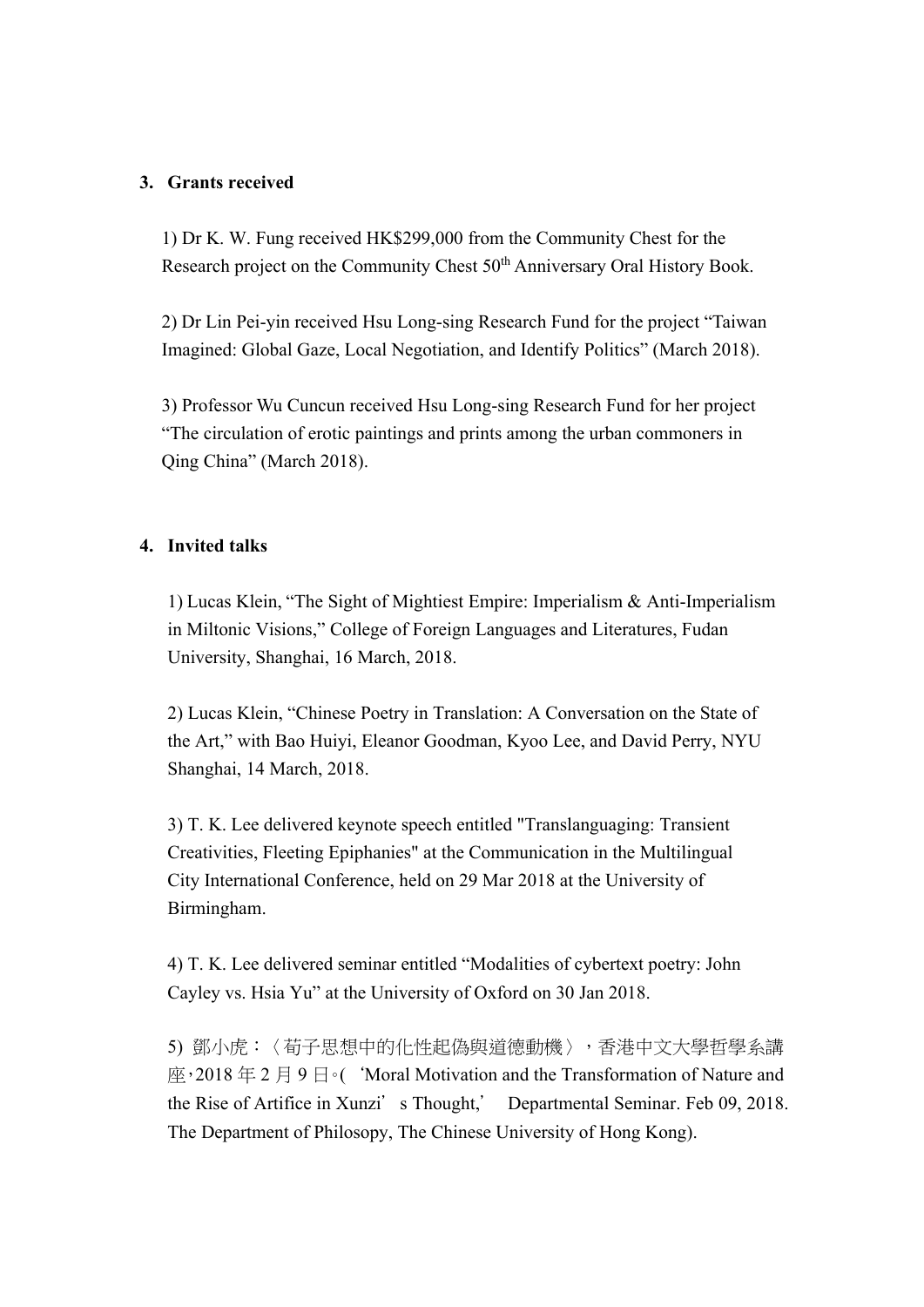#### **3. Grants received**

1) Dr K. W. Fung received HK\$299,000 from the Community Chest for the Research project on the Community Chest 50<sup>th</sup> Anniversary Oral History Book.

2) Dr Lin Pei-yin received Hsu Long-sing Research Fund for the project "Taiwan Imagined: Global Gaze, Local Negotiation, and Identify Politics" (March 2018).

3) Professor Wu Cuncun received Hsu Long-sing Research Fund for her project "The circulation of erotic paintings and prints among the urban commoners in Qing China" (March 2018).

#### **4. Invited talks**

1) Lucas Klein, "The Sight of Mightiest Empire: Imperialism & Anti-Imperialism in Miltonic Visions," College of Foreign Languages and Literatures, Fudan University, Shanghai, 16 March, 2018.

2) Lucas Klein, "Chinese Poetry in Translation: A Conversation on the State of the Art," with Bao Huiyi, Eleanor Goodman, Kyoo Lee, and David Perry, NYU Shanghai, 14 March, 2018.

3) T. K. Lee delivered keynote speech entitled "Translanguaging: Transient Creativities, Fleeting Epiphanies" at the Communication in the Multilingual City International Conference, held on 29 Mar 2018 at the University of Birmingham.

4) T. K. Lee delivered seminar entitled "Modalities of cybertext poetry: John Cayley vs. Hsia Yu" at the University of Oxford on 30 Jan 2018.

5) 鄧小虎:〈荀子思想中的化性起偽與道德動機〉,香港中文大學哲學系講 座, 2018年2月9日。( 'Moral Motivation and the Transformation of Nature and the Rise of Artifice in Xunzi's Thought,' Departmental Seminar. Feb 09, 2018. The Department of Philosopy, The Chinese University of Hong Kong).